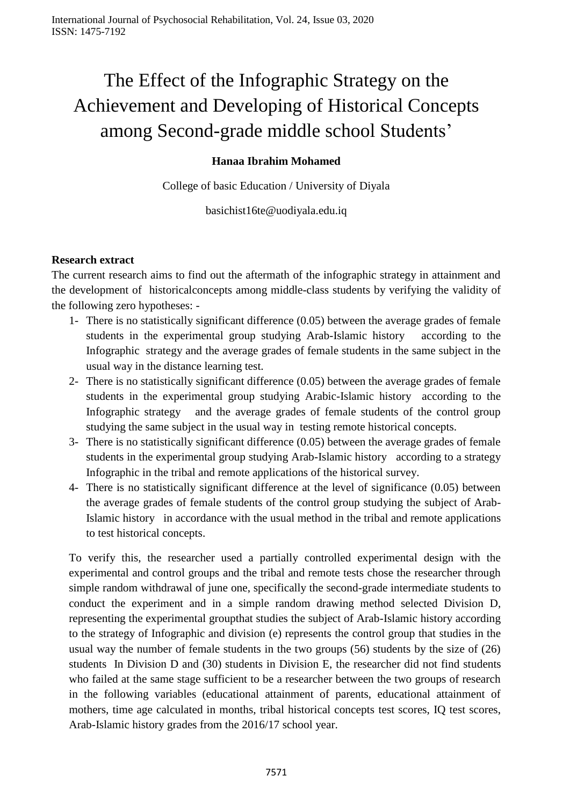# The Effect of the Infographic Strategy on the Achievement and Developing of Historical Concepts among Second-grade middle school Students'

## **Hanaa Ibrahim Mohamed**

College of basic Education / University of Diyala

basichist16te@uodiyala.edu.iq

#### **Research extract**

The current research aims to find out the aftermath of the infographic strategy in attainment and the development of historicalconcepts among middle-class students by verifying the validity of the following zero hypotheses: -

- 1- There is no statistically significant difference (0.05) between the average grades of female students in the experimental group studying Arab-Islamic history according to the Infographic strategy and the average grades of female students in the same subject in the usual way in the distance learning test.
- 2- There is no statistically significant difference (0.05) between the average grades of female students in the experimental group studying Arabic-Islamic history according to the Infographic strategy and the average grades of female students of the control group studying the same subject in the usual way in testing remote historical concepts.
- 3- There is no statistically significant difference (0.05) between the average grades of female students in the experimental group studying Arab-Islamic history according to a strategy Infographic in the tribal and remote applications of the historical survey.
- 4- There is no statistically significant difference at the level of significance (0.05) between the average grades of female students of the control group studying the subject of Arab-Islamic history in accordance with the usual method in the tribal and remote applications to test historical concepts.

To verify this, the researcher used a partially controlled experimental design with the experimental and control groups and the tribal and remote tests chose the researcher through simple random withdrawal of june one, specifically the second-grade intermediate students to conduct the experiment and in a simple random drawing method selected Division D, representing the experimental groupthat studies the subject of Arab-Islamic history according to the strategy of Infographic and division (e) represents the control group that studies in the usual way the number of female students in the two groups (56) students by the size of (26) students In Division D and (30) students in Division E, the researcher did not find students who failed at the same stage sufficient to be a researcher between the two groups of research in the following variables (educational attainment of parents, educational attainment of mothers, time age calculated in months, tribal historical concepts test scores, IQ test scores, Arab-Islamic history grades from the 2016/17 school year.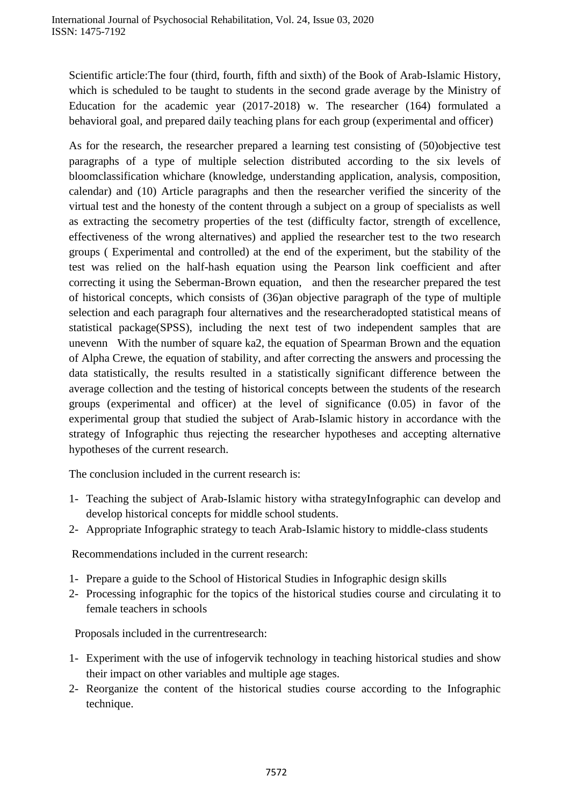Scientific article:The four (third, fourth, fifth and sixth) of the Book of Arab-Islamic History, which is scheduled to be taught to students in the second grade average by the Ministry of Education for the academic year (2017-2018) w. The researcher (164) formulated a behavioral goal, and prepared daily teaching plans for each group (experimental and officer)

As for the research, the researcher prepared a learning test consisting of (50)objective test paragraphs of a type of multiple selection distributed according to the six levels of bloomclassification whichare (knowledge, understanding application, analysis, composition, calendar) and (10) Article paragraphs and then the researcher verified the sincerity of the virtual test and the honesty of the content through a subject on a group of specialists as well as extracting the secometry properties of the test (difficulty factor, strength of excellence, effectiveness of the wrong alternatives) and applied the researcher test to the two research groups ( Experimental and controlled) at the end of the experiment, but the stability of the test was relied on the half-hash equation using the Pearson link coefficient and after correcting it using the Seberman-Brown equation, and then the researcher prepared the test of historical concepts, which consists of (36)an objective paragraph of the type of multiple selection and each paragraph four alternatives and the researcheradopted statistical means of statistical package(SPSS), including the next test of two independent samples that are unevenn With the number of square ka2, the equation of Spearman Brown and the equation of Alpha Crewe, the equation of stability, and after correcting the answers and processing the data statistically, the results resulted in a statistically significant difference between the average collection and the testing of historical concepts between the students of the research groups (experimental and officer) at the level of significance (0.05) in favor of the experimental group that studied the subject of Arab-Islamic history in accordance with the strategy of Infographic thus rejecting the researcher hypotheses and accepting alternative hypotheses of the current research.

The conclusion included in the current research is:

- 1- Teaching the subject of Arab-Islamic history witha strategyInfographic can develop and develop historical concepts for middle school students.
- 2- Appropriate Infographic strategy to teach Arab-Islamic history to middle-class students

Recommendations included in the current research:

- 1- Prepare a guide to the School of Historical Studies in Infographic design skills
- 2- Processing infographic for the topics of the historical studies course and circulating it to female teachers in schools

Proposals included in the currentresearch:

- 1- Experiment with the use of infogervik technology in teaching historical studies and show their impact on other variables and multiple age stages.
- 2- Reorganize the content of the historical studies course according to the Infographic technique.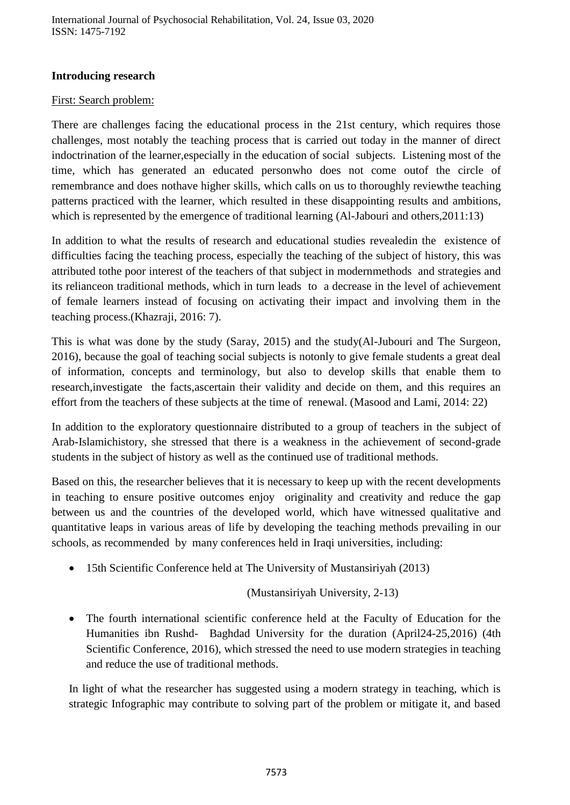## **Introducing research**

#### First: Search problem:

There are challenges facing the educational process in the 21st century, which requires those challenges, most notably the teaching process that is carried out today in the manner of direct indoctrination of the learner,especially in the education of social subjects. Listening most of the time, which has generated an educated personwho does not come outof the circle of remembrance and does nothave higher skills, which calls on us to thoroughly reviewthe teaching patterns practiced with the learner, which resulted in these disappointing results and ambitions, which is represented by the emergence of traditional learning (Al-Jabouri and others, 2011:13)

In addition to what the results of research and educational studies revealedin the existence of difficulties facing the teaching process, especially the teaching of the subject of history, this was attributed tothe poor interest of the teachers of that subject in modernmethods and strategies and its relianceon traditional methods, which in turn leads to a decrease in the level of achievement of female learners instead of focusing on activating their impact and involving them in the teaching process.(Khazraji, 2016: 7).

This is what was done by the study (Saray, 2015) and the study(Al-Jubouri and The Surgeon, 2016), because the goal of teaching social subjects is notonly to give female students a great deal of information, concepts and terminology, but also to develop skills that enable them to research,investigate the facts,ascertain their validity and decide on them, and this requires an effort from the teachers of these subjects at the time of renewal. (Masood and Lami, 2014: 22)

In addition to the exploratory questionnaire distributed to a group of teachers in the subject of Arab-Islamichistory, she stressed that there is a weakness in the achievement of second-grade students in the subject of history as well as the continued use of traditional methods.

Based on this, the researcher believes that it is necessary to keep up with the recent developments in teaching to ensure positive outcomes enjoy originality and creativity and reduce the gap between us and the countries of the developed world, which have witnessed qualitative and quantitative leaps in various areas of life by developing the teaching methods prevailing in our schools, as recommended by many conferences held in Iraqi universities, including:

• 15th Scientific Conference held at The University of Mustansiriyah (2013)

#### (Mustansiriyah University, 2-13)

 The fourth international scientific conference held at the Faculty of Education for the Humanities ibn Rushd- Baghdad University for the duration (April24-25,2016) (4th Scientific Conference, 2016), which stressed the need to use modern strategies in teaching and reduce the use of traditional methods.

In light of what the researcher has suggested using a modern strategy in teaching, which is strategic Infographic may contribute to solving part of the problem or mitigate it, and based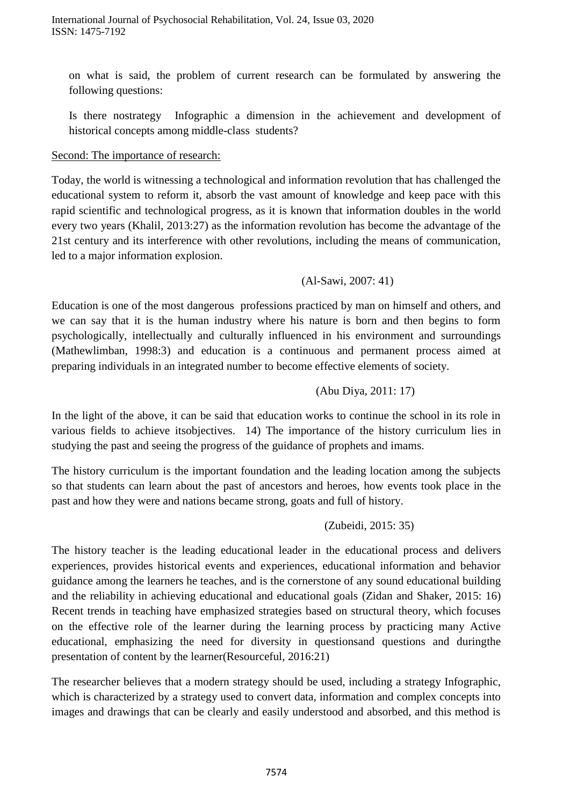on what is said, the problem of current research can be formulated by answering the following questions:

Is there nostrategy Infographic a dimension in the achievement and development of historical concepts among middle-class students?

#### Second: The importance of research:

Today, the world is witnessing a technological and information revolution that has challenged the educational system to reform it, absorb the vast amount of knowledge and keep pace with this rapid scientific and technological progress, as it is known that information doubles in the world every two years (Khalil, 2013:27) as the information revolution has become the advantage of the 21st century and its interference with other revolutions, including the means of communication, led to a major information explosion.

## (Al-Sawi, 2007: 41)

Education is one of the most dangerous professions practiced by man on himself and others, and we can say that it is the human industry where his nature is born and then begins to form psychologically, intellectually and culturally influenced in his environment and surroundings (Mathewlimban, 1998:3) and education is a continuous and permanent process aimed at preparing individuals in an integrated number to become effective elements of society.

## (Abu Diya, 2011: 17)

In the light of the above, it can be said that education works to continue the school in its role in various fields to achieve itsobjectives. 14) The importance of the history curriculum lies in studying the past and seeing the progress of the guidance of prophets and imams.

The history curriculum is the important foundation and the leading location among the subjects so that students can learn about the past of ancestors and heroes, how events took place in the past and how they were and nations became strong, goats and full of history.

## (Zubeidi, 2015: 35)

The history teacher is the leading educational leader in the educational process and delivers experiences, provides historical events and experiences, educational information and behavior guidance among the learners he teaches, and is the cornerstone of any sound educational building and the reliability in achieving educational and educational goals (Zidan and Shaker, 2015: 16) Recent trends in teaching have emphasized strategies based on structural theory, which focuses on the effective role of the learner during the learning process by practicing many Active educational, emphasizing the need for diversity in questionsand questions and duringthe presentation of content by the learner(Resourceful, 2016:21)

The researcher believes that a modern strategy should be used, including a strategy Infographic, which is characterized by a strategy used to convert data, information and complex concepts into images and drawings that can be clearly and easily understood and absorbed, and this method is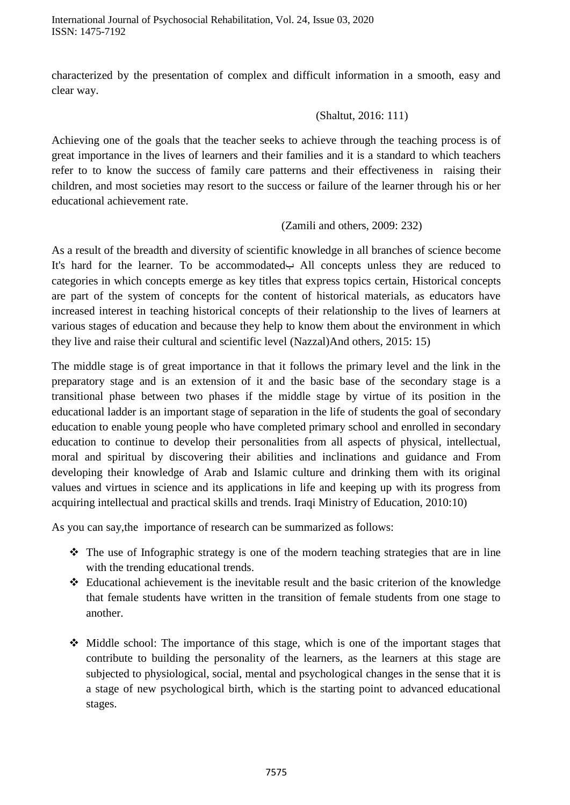International Journal of Psychosocial Rehabilitation, Vol. 24, Issue 03, 2020 ISSN: 1475-7192

characterized by the presentation of complex and difficult information in a smooth, easy and clear way.

#### (Shaltut, 2016: 111)

Achieving one of the goals that the teacher seeks to achieve through the teaching process is of great importance in the lives of learners and their families and it is a standard to which teachers refer to to know the success of family care patterns and their effectiveness in raising their children, and most societies may resort to the success or failure of the learner through his or her educational achievement rate.

#### (Zamili and others, 2009: 232)

As a result of the breadth and diversity of scientific knowledge in all branches of science become It's hard for the learner. To be accommodatedب All concepts unless they are reduced to categories in which concepts emerge as key titles that express topics certain, Historical concepts are part of the system of concepts for the content of historical materials, as educators have increased interest in teaching historical concepts of their relationship to the lives of learners at various stages of education and because they help to know them about the environment in which they live and raise their cultural and scientific level (Nazzal)And others, 2015: 15)

The middle stage is of great importance in that it follows the primary level and the link in the preparatory stage and is an extension of it and the basic base of the secondary stage is a transitional phase between two phases if the middle stage by virtue of its position in the educational ladder is an important stage of separation in the life of students the goal of secondary education to enable young people who have completed primary school and enrolled in secondary education to continue to develop their personalities from all aspects of physical, intellectual, moral and spiritual by discovering their abilities and inclinations and guidance and From developing their knowledge of Arab and Islamic culture and drinking them with its original values and virtues in science and its applications in life and keeping up with its progress from acquiring intellectual and practical skills and trends. Iraqi Ministry of Education, 2010:10)

As you can say,the importance of research can be summarized as follows:

- $\div$  The use of Infographic strategy is one of the modern teaching strategies that are in line with the trending educational trends.
- Educational achievement is the inevitable result and the basic criterion of the knowledge that female students have written in the transition of female students from one stage to another.
- $\triangle$  Middle school: The importance of this stage, which is one of the important stages that contribute to building the personality of the learners, as the learners at this stage are subjected to physiological, social, mental and psychological changes in the sense that it is a stage of new psychological birth, which is the starting point to advanced educational stages.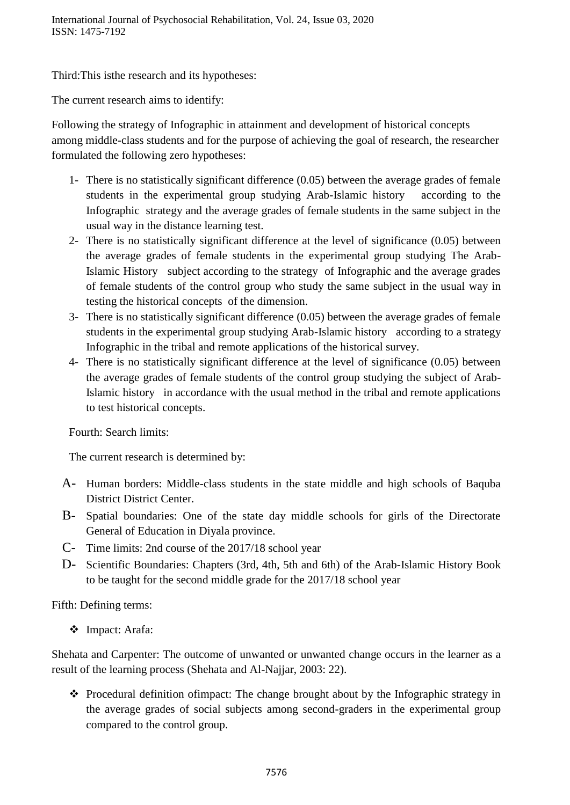Third:This isthe research and its hypotheses:

The current research aims to identify:

Following the strategy of Infographic in attainment and development of historical concepts among middle-class students and for the purpose of achieving the goal of research, the researcher formulated the following zero hypotheses:

- 1- There is no statistically significant difference (0.05) between the average grades of female students in the experimental group studying Arab-Islamic history according to the Infographic strategy and the average grades of female students in the same subject in the usual way in the distance learning test.
- 2- There is no statistically significant difference at the level of significance (0.05) between the average grades of female students in the experimental group studying The Arab-Islamic History subject according to the strategy of Infographic and the average grades of female students of the control group who study the same subject in the usual way in testing the historical concepts of the dimension.
- 3- There is no statistically significant difference (0.05) between the average grades of female students in the experimental group studying Arab-Islamic history according to a strategy Infographic in the tribal and remote applications of the historical survey.
- 4- There is no statistically significant difference at the level of significance (0.05) between the average grades of female students of the control group studying the subject of Arab-Islamic history in accordance with the usual method in the tribal and remote applications to test historical concepts.

Fourth: Search limits:

The current research is determined by:

- A- Human borders: Middle-class students in the state middle and high schools of Baquba District District Center.
- B- Spatial boundaries: One of the state day middle schools for girls of the Directorate General of Education in Diyala province.
- C- Time limits: 2nd course of the 2017/18 school year
- D- Scientific Boundaries: Chapters (3rd, 4th, 5th and 6th) of the Arab-Islamic History Book to be taught for the second middle grade for the 2017/18 school year

Fifth: Defining terms:

Impact: Arafa:

Shehata and Carpenter: The outcome of unwanted or unwanted change occurs in the learner as a result of the learning process (Shehata and Al-Najjar, 2003: 22).

\* Procedural definition of impact: The change brought about by the Infographic strategy in the average grades of social subjects among second-graders in the experimental group compared to the control group.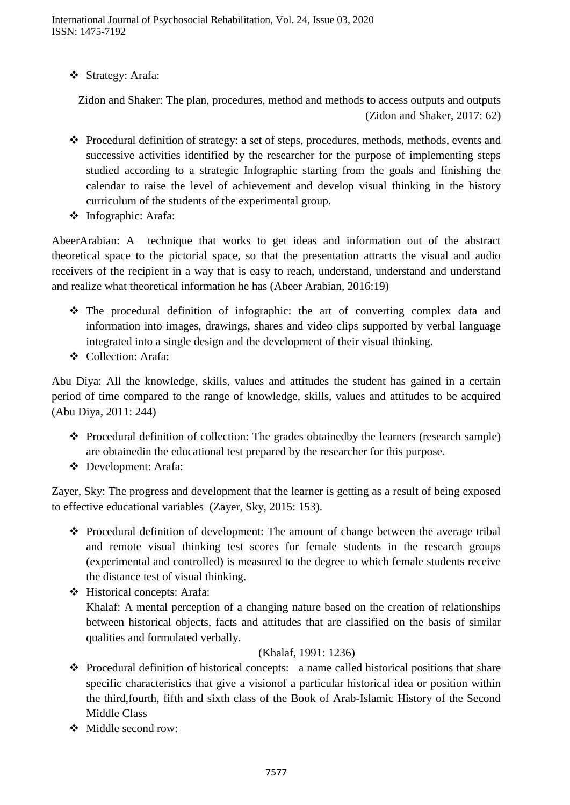Strategy: Arafa:

Zidon and Shaker: The plan, procedures, method and methods to access outputs and outputs (Zidon and Shaker, 2017: 62)

- \* Procedural definition of strategy: a set of steps, procedures, methods, methods, events and successive activities identified by the researcher for the purpose of implementing steps studied according to a strategic Infographic starting from the goals and finishing the calendar to raise the level of achievement and develop visual thinking in the history curriculum of the students of the experimental group.
- Infographic: Arafa:

AbeerArabian: A technique that works to get ideas and information out of the abstract theoretical space to the pictorial space, so that the presentation attracts the visual and audio receivers of the recipient in a way that is easy to reach, understand, understand and understand and realize what theoretical information he has (Abeer Arabian, 2016:19)

- The procedural definition of infographic: the art of converting complex data and information into images, drawings, shares and video clips supported by verbal language integrated into a single design and the development of their visual thinking.
- Collection: Arafa:

Abu Diya: All the knowledge, skills, values and attitudes the student has gained in a certain period of time compared to the range of knowledge, skills, values and attitudes to be acquired (Abu Diya, 2011: 244)

- Procedural definition of collection: The grades obtainedby the learners (research sample) are obtainedin the educational test prepared by the researcher for this purpose.
- Development: Arafa:

Zayer, Sky: The progress and development that the learner is getting as a result of being exposed to effective educational variables (Zayer, Sky, 2015: 153).

- $\div$  Procedural definition of development: The amount of change between the average tribal and remote visual thinking test scores for female students in the research groups (experimental and controlled) is measured to the degree to which female students receive the distance test of visual thinking.
- Historical concepts: Arafa: Khalaf: A mental perception of a changing nature based on the creation of relationships between historical objects, facts and attitudes that are classified on the basis of similar qualities and formulated verbally.

## (Khalaf, 1991: 1236)

- $\triangle$  Procedural definition of historical concepts: a name called historical positions that share specific characteristics that give a visionof a particular historical idea or position within the third,fourth, fifth and sixth class of the Book of Arab-Islamic History of the Second Middle Class
- Middle second row: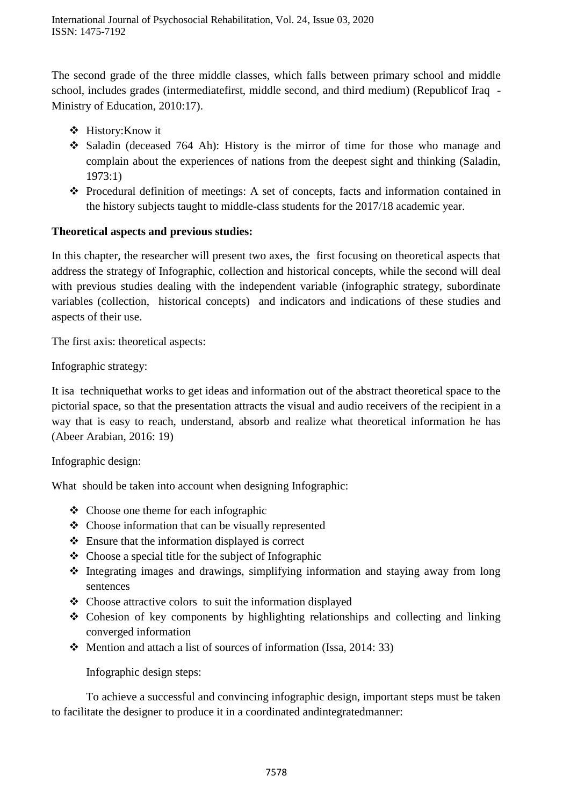The second grade of the three middle classes, which falls between primary school and middle school, includes grades (intermediatefirst, middle second, and third medium) (Republicof Iraq - Ministry of Education, 2010:17).

- History:Know it
- Saladin (deceased 764 Ah): History is the mirror of time for those who manage and complain about the experiences of nations from the deepest sight and thinking (Saladin, 1973:1)
- Procedural definition of meetings: A set of concepts, facts and information contained in the history subjects taught to middle-class students for the 2017/18 academic year.

## **Theoretical aspects and previous studies:**

In this chapter, the researcher will present two axes, the first focusing on theoretical aspects that address the strategy of Infographic, collection and historical concepts, while the second will deal with previous studies dealing with the independent variable (infographic strategy, subordinate variables (collection, historical concepts) and indicators and indications of these studies and aspects of their use.

The first axis: theoretical aspects:

Infographic strategy:

It isa techniquethat works to get ideas and information out of the abstract theoretical space to the pictorial space, so that the presentation attracts the visual and audio receivers of the recipient in a way that is easy to reach, understand, absorb and realize what theoretical information he has (Abeer Arabian, 2016: 19)

Infographic design:

What should be taken into account when designing Infographic:

- $\triangleleft$  Choose one theme for each infographic
- Choose information that can be visually represented
- $\triangle$  Ensure that the information displayed is correct
- $\triangle$  Choose a special title for the subject of Infographic
- $\triangle$  Integrating images and drawings, simplifying information and staying away from long sentences
- $\triangle$  Choose attractive colors to suit the information displayed
- Cohesion of key components by highlighting relationships and collecting and linking converged information
- $\div$  Mention and attach a list of sources of information (Issa, 2014: 33)

Infographic design steps:

To achieve a successful and convincing infographic design, important steps must be taken to facilitate the designer to produce it in a coordinated andintegratedmanner: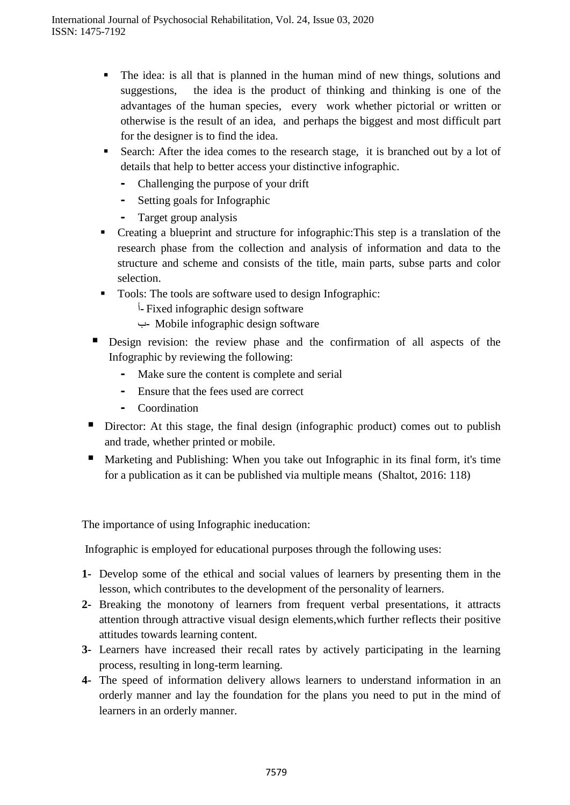- The idea: is all that is planned in the human mind of new things, solutions and suggestions, the idea is the product of thinking and thinking is one of the advantages of the human species, every work whether pictorial or written or otherwise is the result of an idea, and perhaps the biggest and most difficult part for the designer is to find the idea.
- Search: After the idea comes to the research stage, it is branched out by a lot of details that help to better access your distinctive infographic.
	- **-** Challenging the purpose of your drift
	- **-** Setting goals for Infographic
	- **-** Target group analysis
- Creating a blueprint and structure for infographic:This step is a translation of the research phase from the collection and analysis of information and data to the structure and scheme and consists of the title, main parts, subse parts and color selection.
- Tools: The tools are software used to design Infographic:
	- أ**-** Fixed infographic design software
	- ب**-** Mobile infographic design software
- Design revision: the review phase and the confirmation of all aspects of the Infographic by reviewing the following:
	- **-** Make sure the content is complete and serial
	- **-** Ensure that the fees used are correct
	- **-** Coordination
- Director: At this stage, the final design (infographic product) comes out to publish and trade, whether printed or mobile.
- Marketing and Publishing: When you take out Infographic in its final form, it's time for a publication as it can be published via multiple means (Shaltot, 2016: 118)

The importance of using Infographic ineducation:

Infographic is employed for educational purposes through the following uses:

- **1-** Develop some of the ethical and social values of learners by presenting them in the lesson, which contributes to the development of the personality of learners.
- **2-** Breaking the monotony of learners from frequent verbal presentations, it attracts attention through attractive visual design elements,which further reflects their positive attitudes towards learning content.
- **3-** Learners have increased their recall rates by actively participating in the learning process, resulting in long-term learning.
- **4-** The speed of information delivery allows learners to understand information in an orderly manner and lay the foundation for the plans you need to put in the mind of learners in an orderly manner.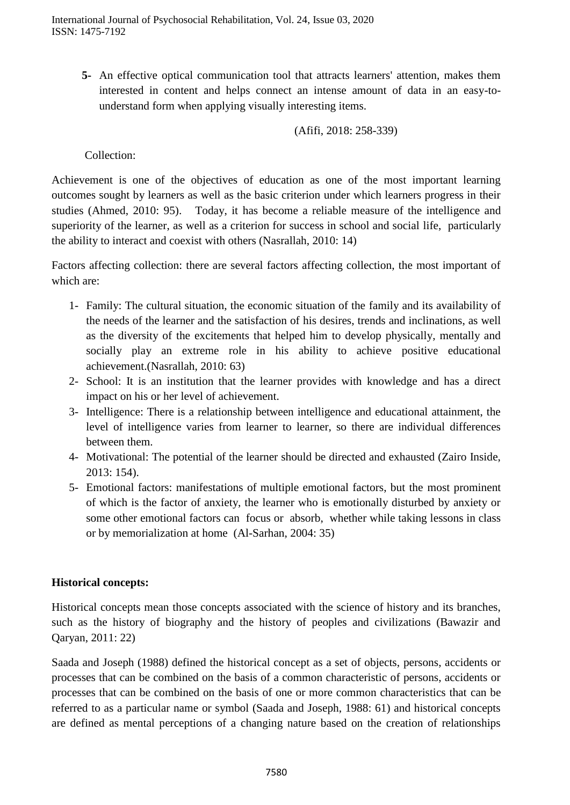**5-** An effective optical communication tool that attracts learners' attention, makes them interested in content and helps connect an intense amount of data in an easy-tounderstand form when applying visually interesting items.

(Afifi, 2018: 258-339)

Collection:

Achievement is one of the objectives of education as one of the most important learning outcomes sought by learners as well as the basic criterion under which learners progress in their studies (Ahmed, 2010: 95). Today, it has become a reliable measure of the intelligence and superiority of the learner, as well as a criterion for success in school and social life, particularly the ability to interact and coexist with others (Nasrallah, 2010: 14)

Factors affecting collection: there are several factors affecting collection, the most important of which are:

- 1- Family: The cultural situation, the economic situation of the family and its availability of the needs of the learner and the satisfaction of his desires, trends and inclinations, as well as the diversity of the excitements that helped him to develop physically, mentally and socially play an extreme role in his ability to achieve positive educational achievement.(Nasrallah, 2010: 63)
- 2- School: It is an institution that the learner provides with knowledge and has a direct impact on his or her level of achievement.
- 3- Intelligence: There is a relationship between intelligence and educational attainment, the level of intelligence varies from learner to learner, so there are individual differences between them.
- 4- Motivational: The potential of the learner should be directed and exhausted (Zairo Inside, 2013: 154).
- 5- Emotional factors: manifestations of multiple emotional factors, but the most prominent of which is the factor of anxiety, the learner who is emotionally disturbed by anxiety or some other emotional factors can focus or absorb, whether while taking lessons in class or by memorialization at home (Al-Sarhan, 2004: 35)

#### **Historical concepts:**

Historical concepts mean those concepts associated with the science of history and its branches, such as the history of biography and the history of peoples and civilizations (Bawazir and Qaryan, 2011: 22)

Saada and Joseph (1988) defined the historical concept as a set of objects, persons, accidents or processes that can be combined on the basis of a common characteristic of persons, accidents or processes that can be combined on the basis of one or more common characteristics that can be referred to as a particular name or symbol (Saada and Joseph, 1988: 61) and historical concepts are defined as mental perceptions of a changing nature based on the creation of relationships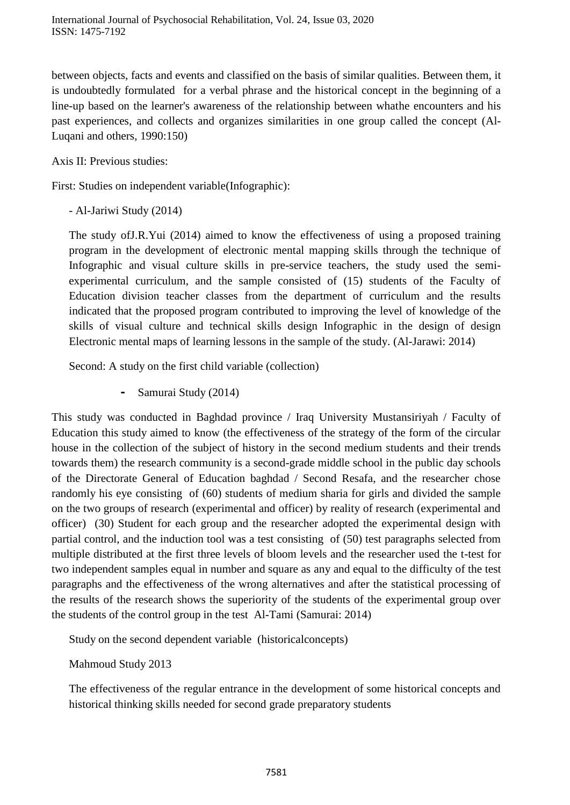between objects, facts and events and classified on the basis of similar qualities. Between them, it is undoubtedly formulated for a verbal phrase and the historical concept in the beginning of a line-up based on the learner's awareness of the relationship between whathe encounters and his past experiences, and collects and organizes similarities in one group called the concept (Al-Luqani and others, 1990:150)

Axis II: Previous studies:

First: Studies on independent variable(Infographic):

- Al-Jariwi Study (2014)

The study ofJ.R.Yui (2014) aimed to know the effectiveness of using a proposed training program in the development of electronic mental mapping skills through the technique of Infographic and visual culture skills in pre-service teachers, the study used the semiexperimental curriculum, and the sample consisted of (15) students of the Faculty of Education division teacher classes from the department of curriculum and the results indicated that the proposed program contributed to improving the level of knowledge of the skills of visual culture and technical skills design Infographic in the design of design Electronic mental maps of learning lessons in the sample of the study. (Al-Jarawi: 2014)

Second: A study on the first child variable (collection)

**-** Samurai Study (2014)

This study was conducted in Baghdad province / Iraq University Mustansiriyah / Faculty of Education this study aimed to know (the effectiveness of the strategy of the form of the circular house in the collection of the subject of history in the second medium students and their trends towards them) the research community is a second-grade middle school in the public day schools of the Directorate General of Education baghdad / Second Resafa, and the researcher chose randomly his eye consisting of (60) students of medium sharia for girls and divided the sample on the two groups of research (experimental and officer) by reality of research (experimental and officer) (30) Student for each group and the researcher adopted the experimental design with partial control, and the induction tool was a test consisting of (50) test paragraphs selected from multiple distributed at the first three levels of bloom levels and the researcher used the t-test for two independent samples equal in number and square as any and equal to the difficulty of the test paragraphs and the effectiveness of the wrong alternatives and after the statistical processing of the results of the research shows the superiority of the students of the experimental group over the students of the control group in the test Al-Tami (Samurai: 2014)

Study on the second dependent variable (historicalconcepts)

Mahmoud Study 2013

The effectiveness of the regular entrance in the development of some historical concepts and historical thinking skills needed for second grade preparatory students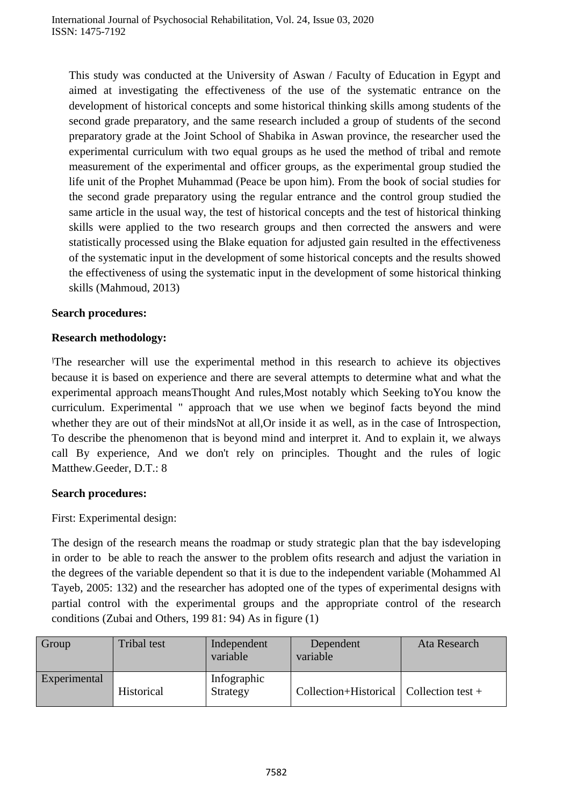This study was conducted at the University of Aswan / Faculty of Education in Egypt and aimed at investigating the effectiveness of the use of the systematic entrance on the development of historical concepts and some historical thinking skills among students of the second grade preparatory, and the same research included a group of students of the second preparatory grade at the Joint School of Shabika in Aswan province, the researcher used the experimental curriculum with two equal groups as he used the method of tribal and remote measurement of the experimental and officer groups, as the experimental group studied the life unit of the Prophet Muhammad (Peace be upon him). From the book of social studies for the second grade preparatory using the regular entrance and the control group studied the same article in the usual way, the test of historical concepts and the test of historical thinking skills were applied to the two research groups and then corrected the answers and were statistically processed using the Blake equation for adjusted gain resulted in the effectiveness of the systematic input in the development of some historical concepts and the results showed the effectiveness of using the systematic input in the development of some historical thinking skills (Mahmoud, 2013)

#### **Search procedures:**

## **Research methodology:**

اThe researcher will use the experimental method in this research to achieve its objectives because it is based on experience and there are several attempts to determine what and what the experimental approach meansThought And rules,Most notably which Seeking toYou know the curriculum. Experimental " approach that we use when we beginof facts beyond the mind whether they are out of their mindsNot at all,Or inside it as well, as in the case of Introspection, To describe the phenomenon that is beyond mind and interpret it. And to explain it, we always call By experience, And we don't rely on principles. Thought and the rules of logic Matthew.Geeder, D.T.: 8

#### **Search procedures:**

First: Experimental design:

The design of the research means the roadmap or study strategic plan that the bay isdeveloping in order to be able to reach the answer to the problem ofits research and adjust the variation in the degrees of the variable dependent so that it is due to the independent variable (Mohammed Al Tayeb, 2005: 132) and the researcher has adopted one of the types of experimental designs with partial control with the experimental groups and the appropriate control of the research conditions (Zubai and Others, 199 81: 94) As in figure (1)

| Group        | Tribal test | Independent<br>variable | Dependent<br>variable                     | Ata Research |
|--------------|-------------|-------------------------|-------------------------------------------|--------------|
| Experimental | Historical  | Infographic<br>Strategy | Collection+Historical   Collection test + |              |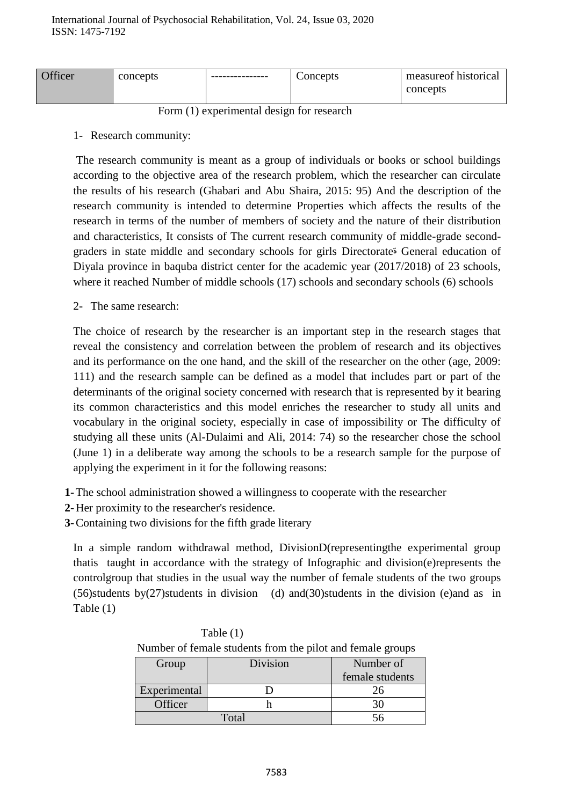| <b>Officer</b> | concepts | ---------------- | Concepts | measure of historical |
|----------------|----------|------------------|----------|-----------------------|
|                |          |                  |          | concepts              |

Form (1) experimental design for research

1- Research community:

The research community is meant as a group of individuals or books or school buildings according to the objective area of the research problem, which the researcher can circulate the results of his research (Ghabari and Abu Shaira, 2015: 95) And the description of the research community is intended to determine Properties which affects the results of the research in terms of the number of members of society and the nature of their distribution and characteristics, It consists of The current research community of middle-grade secondgraders in state middle and secondary schools for girls Directorateة General education of Diyala province in baquba district center for the academic year (2017/2018) of 23 schools, where it reached Number of middle schools (17) schools and secondary schools (6) schools

2- The same research:

The choice of research by the researcher is an important step in the research stages that reveal the consistency and correlation between the problem of research and its objectives and its performance on the one hand, and the skill of the researcher on the other (age, 2009: 111) and the research sample can be defined as a model that includes part or part of the determinants of the original society concerned with research that is represented by it bearing its common characteristics and this model enriches the researcher to study all units and vocabulary in the original society, especially in case of impossibility or The difficulty of studying all these units (Al-Dulaimi and Ali, 2014: 74) so the researcher chose the school (June 1) in a deliberate way among the schools to be a research sample for the purpose of applying the experiment in it for the following reasons:

- **1-**The school administration showed a willingness to cooperate with the researcher
- **2-**Her proximity to the researcher's residence.
- **3-**Containing two divisions for the fifth grade literary

In a simple random withdrawal method, DivisionD(representingthe experimental group thatis taught in accordance with the strategy of Infographic and division(e)represents the controlgroup that studies in the usual way the number of female students of the two groups (56)students by(27)students in division (d) and(30)students in the division (e)and as in Table (1)

| Trainocle of female students from the prior and female groups |          |    |  |  |  |  |  |  |
|---------------------------------------------------------------|----------|----|--|--|--|--|--|--|
| Group                                                         | Division |    |  |  |  |  |  |  |
|                                                               |          |    |  |  |  |  |  |  |
| Experimental                                                  |          | 26 |  |  |  |  |  |  |
| Officer                                                       |          |    |  |  |  |  |  |  |
|                                                               |          |    |  |  |  |  |  |  |

| Table $(1)$                                                |  |
|------------------------------------------------------------|--|
| Number of female students from the pilot and female groups |  |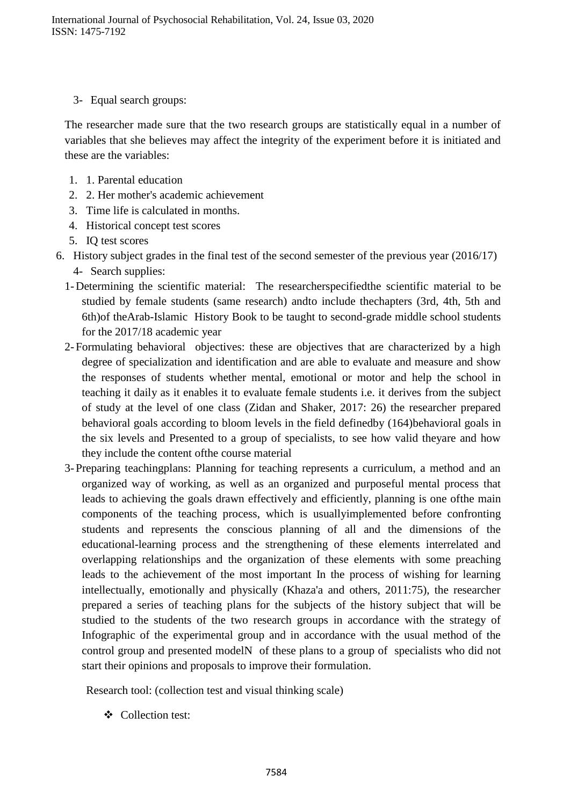3- Equal search groups:

The researcher made sure that the two research groups are statistically equal in a number of variables that she believes may affect the integrity of the experiment before it is initiated and these are the variables:

- 1. 1. Parental education
- 2. 2. Her mother's academic achievement
- 3. Time life is calculated in months.
- 4. Historical concept test scores
- 5. IQ test scores
- 6. History subject grades in the final test of the second semester of the previous year (2016/17) 4- Search supplies:
	- 1-Determining the scientific material: The researcherspecifiedthe scientific material to be studied by female students (same research) andto include thechapters (3rd, 4th, 5th and 6th)of theArab-Islamic History Book to be taught to second-grade middle school students for the 2017/18 academic year
	- 2-Formulating behavioral objectives: these are objectives that are characterized by a high degree of specialization and identification and are able to evaluate and measure and show the responses of students whether mental, emotional or motor and help the school in teaching it daily as it enables it to evaluate female students i.e. it derives from the subject of study at the level of one class (Zidan and Shaker, 2017: 26) the researcher prepared behavioral goals according to bloom levels in the field definedby (164)behavioral goals in the six levels and Presented to a group of specialists, to see how valid theyare and how they include the content ofthe course material
	- 3-Preparing teachingplans: Planning for teaching represents a curriculum, a method and an organized way of working, as well as an organized and purposeful mental process that leads to achieving the goals drawn effectively and efficiently, planning is one ofthe main components of the teaching process, which is usuallyimplemented before confronting students and represents the conscious planning of all and the dimensions of the educational-learning process and the strengthening of these elements interrelated and overlapping relationships and the organization of these elements with some preaching leads to the achievement of the most important In the process of wishing for learning intellectually, emotionally and physically (Khaza'a and others, 2011:75), the researcher prepared a series of teaching plans for the subjects of the history subject that will be studied to the students of the two research groups in accordance with the strategy of Infographic of the experimental group and in accordance with the usual method of the control group and presented modelN of these plans to a group of specialists who did not start their opinions and proposals to improve their formulation.

Research tool: (collection test and visual thinking scale)

Collection test: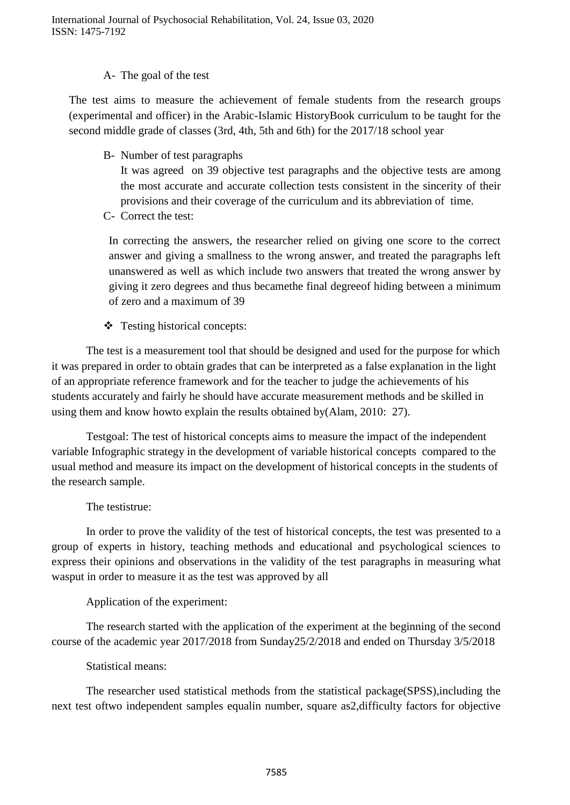#### A- The goal of the test

The test aims to measure the achievement of female students from the research groups (experimental and officer) in the Arabic-Islamic HistoryBook curriculum to be taught for the second middle grade of classes (3rd, 4th, 5th and 6th) for the 2017/18 school year

B- Number of test paragraphs

It was agreed on 39 objective test paragraphs and the objective tests are among the most accurate and accurate collection tests consistent in the sincerity of their provisions and their coverage of the curriculum and its abbreviation of time.

C- Correct the test:

In correcting the answers, the researcher relied on giving one score to the correct answer and giving a smallness to the wrong answer, and treated the paragraphs left unanswered as well as which include two answers that treated the wrong answer by giving it zero degrees and thus becamethe final degreeof hiding between a minimum of zero and a maximum of 39

Testing historical concepts:

The test is a measurement tool that should be designed and used for the purpose for which it was prepared in order to obtain grades that can be interpreted as a false explanation in the light of an appropriate reference framework and for the teacher to judge the achievements of his students accurately and fairly he should have accurate measurement methods and be skilled in using them and know howto explain the results obtained by(Alam, 2010: 27).

Testgoal: The test of historical concepts aims to measure the impact of the independent variable Infographic strategy in the development of variable historical concepts compared to the usual method and measure its impact on the development of historical concepts in the students of the research sample.

#### The testistrue:

In order to prove the validity of the test of historical concepts, the test was presented to a group of experts in history, teaching methods and educational and psychological sciences to express their opinions and observations in the validity of the test paragraphs in measuring what wasput in order to measure it as the test was approved by all

Application of the experiment:

The research started with the application of the experiment at the beginning of the second course of the academic year 2017/2018 from Sunday25/2/2018 and ended on Thursday 3/5/2018

#### Statistical means:

The researcher used statistical methods from the statistical package(SPSS),including the next test oftwo independent samples equalin number, square as 2, difficulty factors for objective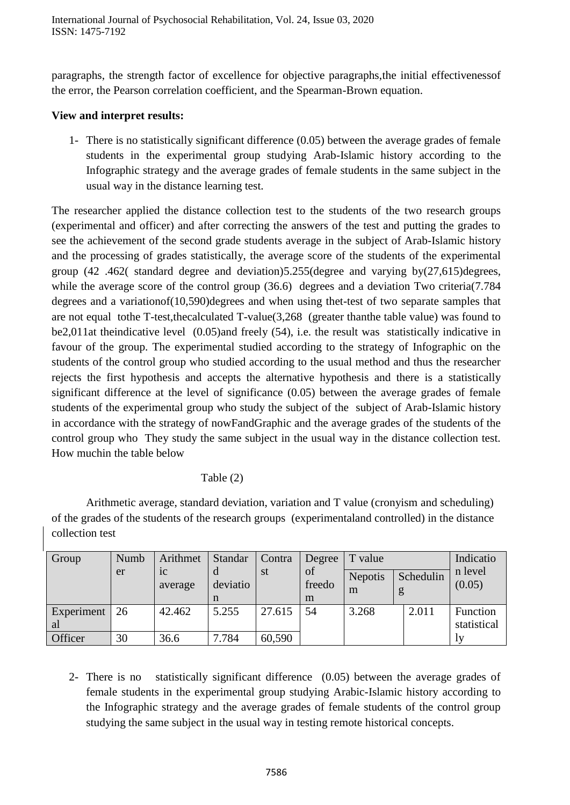paragraphs, the strength factor of excellence for objective paragraphs,the initial effectivenessof the error, the Pearson correlation coefficient, and the Spearman-Brown equation.

## **View and interpret results:**

1- There is no statistically significant difference (0.05) between the average grades of female students in the experimental group studying Arab-Islamic history according to the Infographic strategy and the average grades of female students in the same subject in the usual way in the distance learning test.

The researcher applied the distance collection test to the students of the two research groups (experimental and officer) and after correcting the answers of the test and putting the grades to see the achievement of the second grade students average in the subject of Arab-Islamic history and the processing of grades statistically, the average score of the students of the experimental group (42 .462( standard degree and deviation)5.255(degree and varying by(27,615)degrees, while the average score of the control group (36.6) degrees and a deviation Two criteria(7.784) degrees and a variationof(10,590)degrees and when using thet-test of two separate samples that are not equal tothe T-test,thecalculated T-value(3,268 (greater thanthe table value) was found to be2,011at theindicative level (0.05)and freely (54), i.e. the result was statistically indicative in favour of the group. The experimental studied according to the strategy of Infographic on the students of the control group who studied according to the usual method and thus the researcher rejects the first hypothesis and accepts the alternative hypothesis and there is a statistically significant difference at the level of significance (0.05) between the average grades of female students of the experimental group who study the subject of the subject of Arab-Islamic history in accordance with the strategy of nowFandGraphic and the average grades of the students of the control group who They study the same subject in the usual way in the distance collection test. How muchin the table below

## Table (2)

Arithmetic average, standard deviation, variation and T value (cronyism and scheduling) of the grades of the students of the research groups (experimentaland controlled) in the distance collection test

| Group      | Numb | Arithmet                  | Standar  | Contra | Degree       | T value        |           | Indicatio         |
|------------|------|---------------------------|----------|--------|--------------|----------------|-----------|-------------------|
|            | er   | 1 <sup>C</sup><br>average | deviatio | st     | of<br>freedo | <b>Nepotis</b> | Schedulin | n level<br>(0.05) |
|            |      |                           | n        |        | m            | m              |           |                   |
| Experiment | 26   | 42.462                    | 5.255    | 27.615 | 54           | 3.268          | 2.011     | Function          |
| al         |      |                           |          |        |              |                |           | statistical       |
| Officer    | 30   | 36.6                      | 7.784    | 60,590 |              |                |           |                   |

2- There is no statistically significant difference (0.05) between the average grades of female students in the experimental group studying Arabic-Islamic history according to the Infographic strategy and the average grades of female students of the control group studying the same subject in the usual way in testing remote historical concepts.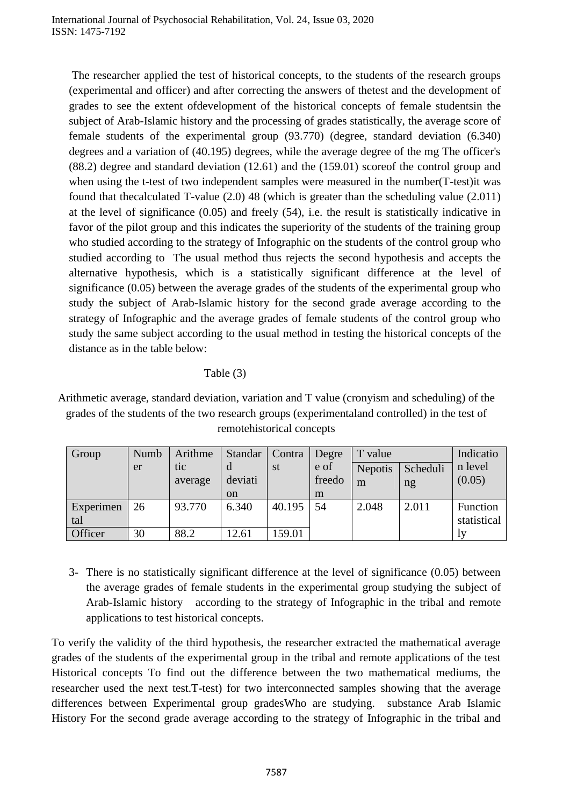The researcher applied the test of historical concepts, to the students of the research groups (experimental and officer) and after correcting the answers of thetest and the development of grades to see the extent ofdevelopment of the historical concepts of female studentsin the subject of Arab-Islamic history and the processing of grades statistically, the average score of female students of the experimental group (93.770) (degree, standard deviation (6.340) degrees and a variation of (40.195) degrees, while the average degree of the mg The officer's (88.2) degree and standard deviation (12.61) and the (159.01) scoreof the control group and when using the t-test of two independent samples were measured in the number(T-test)it was found that thecalculated T-value (2.0) 48 (which is greater than the scheduling value (2.011) at the level of significance (0.05) and freely (54), i.e. the result is statistically indicative in favor of the pilot group and this indicates the superiority of the students of the training group who studied according to the strategy of Infographic on the students of the control group who studied according to The usual method thus rejects the second hypothesis and accepts the alternative hypothesis, which is a statistically significant difference at the level of significance (0.05) between the average grades of the students of the experimental group who study the subject of Arab-Islamic history for the second grade average according to the strategy of Infographic and the average grades of female students of the control group who study the same subject according to the usual method in testing the historical concepts of the distance as in the table below:

#### Table (3)

Arithmetic average, standard deviation, variation and T value (cronyism and scheduling) of the grades of the students of the two research groups (experimentaland controlled) in the test of remotehistorical concepts

| Group     | Numb | Arithme | Standar       | Contra    | Degre  | T value                    |       | Indicatio   |
|-----------|------|---------|---------------|-----------|--------|----------------------------|-------|-------------|
|           | er   | tic     |               | <b>st</b> | e of   | Scheduli<br><b>Nepotis</b> |       | n level     |
|           |      | average | deviati       |           | freedo | m<br>ng                    |       | (0.05)      |
|           |      |         | <sub>on</sub> |           | m      |                            |       |             |
| Experimen | 26   | 93.770  | 6.340         | 40.195    | 54     | 2.048                      | 2.011 | Function    |
| tal       |      |         |               |           |        |                            |       | statistical |
| Officer   | 30   | 88.2    | 12.61         | 59.01     |        |                            |       | IV          |

3- There is no statistically significant difference at the level of significance (0.05) between the average grades of female students in the experimental group studying the subject of Arab-Islamic history according to the strategy of Infographic in the tribal and remote applications to test historical concepts.

To verify the validity of the third hypothesis, the researcher extracted the mathematical average grades of the students of the experimental group in the tribal and remote applications of the test Historical concepts To find out the difference between the two mathematical mediums, the researcher used the next test.T-test) for two interconnected samples showing that the average differences between Experimental group gradesWho are studying. substance Arab Islamic History For the second grade average according to the strategy of Infographic in the tribal and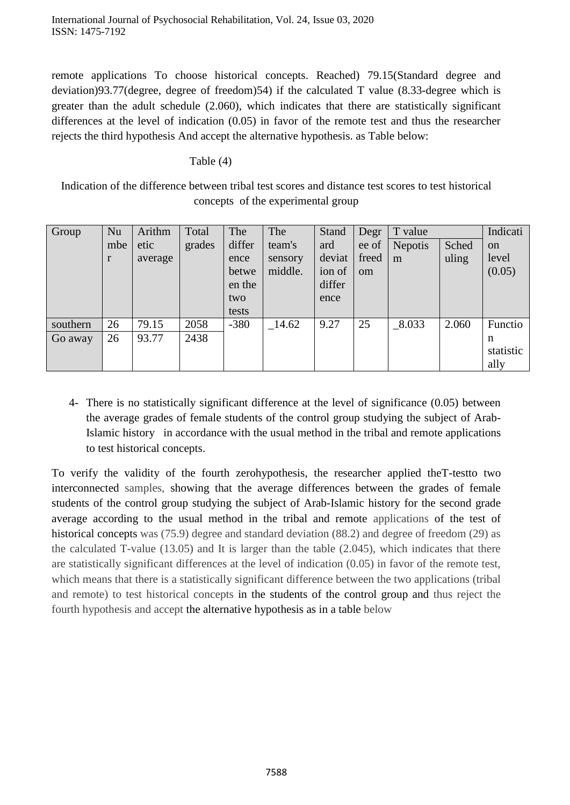remote applications To choose historical concepts. Reached) 79.15(Standard degree and deviation)93.77(degree, degree of freedom)54) if the calculated T value (8.33-degree which is greater than the adult schedule (2.060), which indicates that there are statistically significant differences at the level of indication (0.05) in favor of the remote test and thus the researcher rejects the third hypothesis And accept the alternative hypothesis. as Table below:

#### Table (4)

Indication of the difference between tribal test scores and distance test scores to test historical concepts of the experimental group

| Group    | Nu  | Arithm  | Total  | The    | The     | Stand  | Degr          | T value        |       | Indicati      |
|----------|-----|---------|--------|--------|---------|--------|---------------|----------------|-------|---------------|
|          | mbe | etic    | grades | differ | team's  | ard    | ee of         | <b>Nepotis</b> | Sched | <sub>on</sub> |
|          | r   | average |        | ence   | sensory | deviat | freed         | m              | uling | level         |
|          |     |         |        | betwe  | middle. | ion of | <sub>om</sub> |                |       | (0.05)        |
|          |     |         |        | en the |         | differ |               |                |       |               |
|          |     |         |        | two    |         | ence   |               |                |       |               |
|          |     |         |        | tests  |         |        |               |                |       |               |
| southern | 26  | 79.15   | 2058   | $-380$ | 14.62   | 9.27   | 25            | $\_8.033$      | 2.060 | Functio       |
| Go away  | 26  | 93.77   | 2438   |        |         |        |               |                |       | n             |
|          |     |         |        |        |         |        |               |                |       | statistic     |
|          |     |         |        |        |         |        |               |                |       | ally          |

4- There is no statistically significant difference at the level of significance (0.05) between the average grades of female students of the control group studying the subject of Arab-Islamic history in accordance with the usual method in the tribal and remote applications to test historical concepts.

To verify the validity of the fourth zerohypothesis, the researcher applied theT-testto two interconnected samples, showing that the average differences between the grades of female students of the control group studying the subject of Arab-Islamic history for the second grade average according to the usual method in the tribal and remote applications of the test of historical concepts was (75.9) degree and standard deviation (88.2) and degree of freedom (29) as the calculated T-value (13.05) and It is larger than the table (2.045), which indicates that there are statistically significant differences at the level of indication (0.05) in favor of the remote test, which means that there is a statistically significant difference between the two applications (tribal and remote) to test historical concepts in the students of the control group and thus reject the fourth hypothesis and accept the alternative hypothesis as in a table below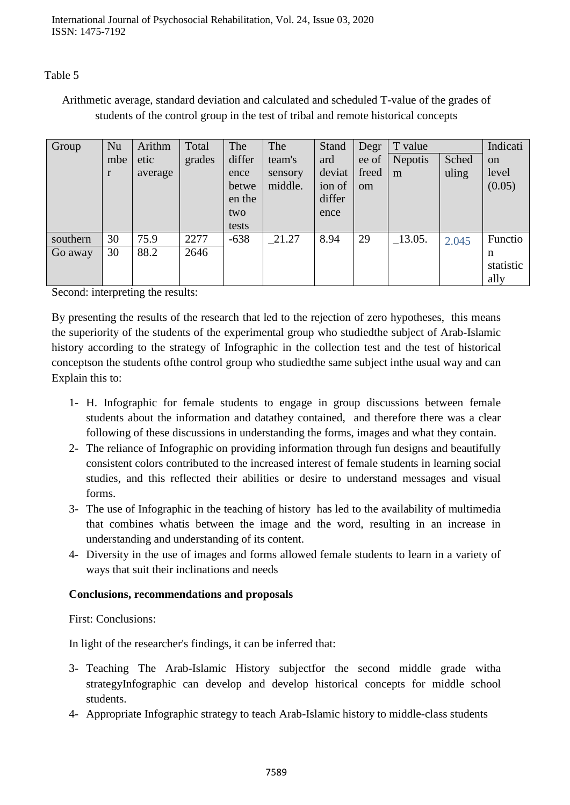Table 5

# Arithmetic average, standard deviation and calculated and scheduled T-value of the grades of students of the control group in the test of tribal and remote historical concepts

| Group    | Nu  | Arithm  | Total  | The    | The     | Stand  | Degr          | T value        |       | Indicati      |
|----------|-----|---------|--------|--------|---------|--------|---------------|----------------|-------|---------------|
|          | mbe | etic    | grades | differ | team's  | ard    | ee of         | <b>Nepotis</b> | Sched | <sub>on</sub> |
|          |     | average |        | ence   | sensory | deviat | freed         | m              | uling | level         |
|          |     |         |        | betwe  | middle. | ion of | <sub>om</sub> |                |       | (0.05)        |
|          |     |         |        | en the |         | differ |               |                |       |               |
|          |     |         |        | two    |         | ence   |               |                |       |               |
|          |     |         |        | tests  |         |        |               |                |       |               |
| southern | 30  | 75.9    | 2277   | $-638$ | 21.27   | 8.94   | 29            | $\_13.05.$     | 2.045 | Functio       |
| Go away  | 30  | 88.2    | 2646   |        |         |        |               |                |       | n             |
|          |     |         |        |        |         |        |               |                |       | statistic     |
|          |     |         |        |        |         |        |               |                |       | ally          |

Second: interpreting the results:

By presenting the results of the research that led to the rejection of zero hypotheses, this means the superiority of the students of the experimental group who studiedthe subject of Arab-Islamic history according to the strategy of Infographic in the collection test and the test of historical conceptson the students ofthe control group who studiedthe same subject inthe usual way and can Explain this to:

- 1- H. Infographic for female students to engage in group discussions between female students about the information and datathey contained, and therefore there was a clear following of these discussions in understanding the forms, images and what they contain.
- 2- The reliance of Infographic on providing information through fun designs and beautifully consistent colors contributed to the increased interest of female students in learning social studies, and this reflected their abilities or desire to understand messages and visual forms.
- 3- The use of Infographic in the teaching of history has led to the availability of multimedia that combines whatis between the image and the word, resulting in an increase in understanding and understanding of its content.
- 4- Diversity in the use of images and forms allowed female students to learn in a variety of ways that suit their inclinations and needs

## **Conclusions, recommendations and proposals**

First: Conclusions:

In light of the researcher's findings, it can be inferred that:

- 3- Teaching The Arab-Islamic History subjectfor the second middle grade witha strategyInfographic can develop and develop historical concepts for middle school students.
- 4- Appropriate Infographic strategy to teach Arab-Islamic history to middle-class students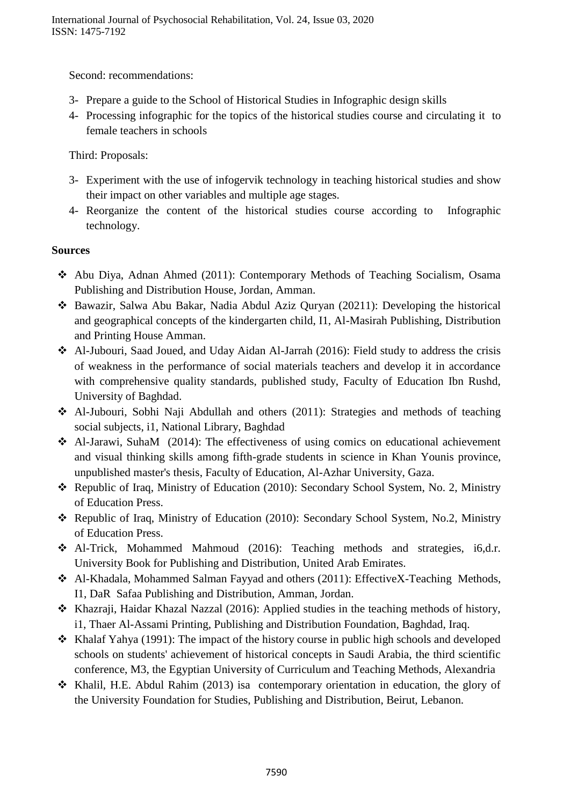Second: recommendations:

- 3- Prepare a guide to the School of Historical Studies in Infographic design skills
- 4- Processing infographic for the topics of the historical studies course and circulating it to female teachers in schools

Third: Proposals:

- 3- Experiment with the use of infogervik technology in teaching historical studies and show their impact on other variables and multiple age stages.
- 4- Reorganize the content of the historical studies course according to Infographic technology.

## **Sources**

- Abu Diya, Adnan Ahmed (2011): Contemporary Methods of Teaching Socialism, Osama Publishing and Distribution House, Jordan, Amman.
- Bawazir, Salwa Abu Bakar, Nadia Abdul Aziz Quryan (20211): Developing the historical and geographical concepts of the kindergarten child, I1, Al-Masirah Publishing, Distribution and Printing House Amman.
- Al-Jubouri, Saad Joued, and Uday Aidan Al-Jarrah (2016): Field study to address the crisis of weakness in the performance of social materials teachers and develop it in accordance with comprehensive quality standards, published study, Faculty of Education Ibn Rushd, University of Baghdad.
- Al-Jubouri, Sobhi Naji Abdullah and others (2011): Strategies and methods of teaching social subjects, i1, National Library, Baghdad
- $\triangle$  Al-Jarawi, SuhaM (2014): The effectiveness of using comics on educational achievement and visual thinking skills among fifth-grade students in science in Khan Younis province, unpublished master's thesis, Faculty of Education, Al-Azhar University, Gaza.
- \* Republic of Iraq, Ministry of Education (2010): Secondary School System, No. 2, Ministry of Education Press.
- Republic of Iraq, Ministry of Education (2010): Secondary School System, No.2, Ministry of Education Press.
- Al-Trick, Mohammed Mahmoud (2016): Teaching methods and strategies, i6,d.r. University Book for Publishing and Distribution, United Arab Emirates.
- Al-Khadala, Mohammed Salman Fayyad and others (2011): EffectiveX-Teaching Methods, I1, DaR Safaa Publishing and Distribution, Amman, Jordan.
- \* Khazraji, Haidar Khazal Nazzal (2016): Applied studies in the teaching methods of history, i1, Thaer Al-Assami Printing, Publishing and Distribution Foundation, Baghdad, Iraq.
- $\triangle$  Khalaf Yahya (1991): The impact of the history course in public high schools and developed schools on students' achievement of historical concepts in Saudi Arabia, the third scientific conference, M3, the Egyptian University of Curriculum and Teaching Methods, Alexandria
- $\triangle$  Khalil, H.E. Abdul Rahim (2013) isa contemporary orientation in education, the glory of the University Foundation for Studies, Publishing and Distribution, Beirut, Lebanon.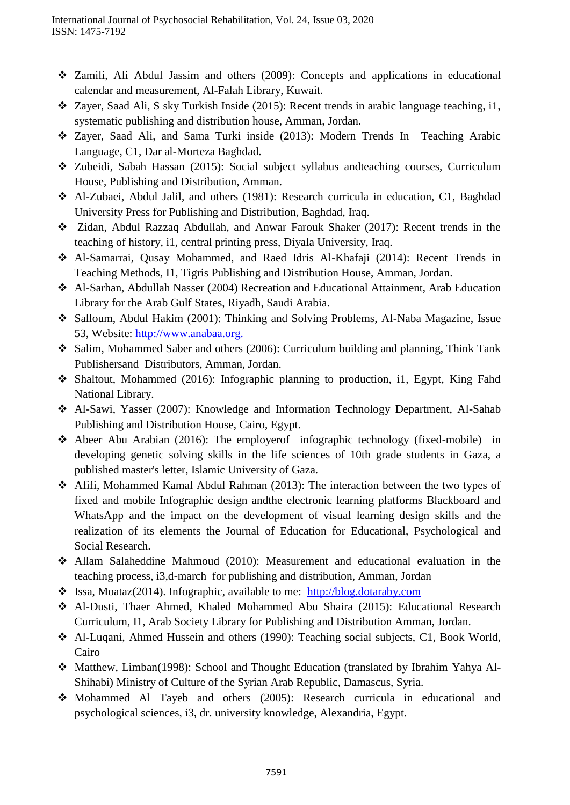- Zamili, Ali Abdul Jassim and others (2009): Concepts and applications in educational calendar and measurement, Al-Falah Library, Kuwait.
- Zayer, Saad Ali, S sky Turkish Inside (2015): Recent trends in arabic language teaching, i1, systematic publishing and distribution house, Amman, Jordan.
- Zayer, Saad Ali, and Sama Turki inside (2013): Modern Trends In Teaching Arabic Language, C1, Dar al-Morteza Baghdad.
- Zubeidi, Sabah Hassan (2015): Social subject syllabus andteaching courses, Curriculum House, Publishing and Distribution, Amman.
- Al-Zubaei, Abdul Jalil, and others (1981): Research curricula in education, C1, Baghdad University Press for Publishing and Distribution, Baghdad, Iraq.
- Zidan, Abdul Razzaq Abdullah, and Anwar Farouk Shaker (2017): Recent trends in the teaching of history, i1, central printing press, Diyala University, Iraq.
- Al-Samarrai, Qusay Mohammed, and Raed Idris Al-Khafaji (2014): Recent Trends in Teaching Methods, I1, Tigris Publishing and Distribution House, Amman, Jordan.
- Al-Sarhan, Abdullah Nasser (2004) Recreation and Educational Attainment, Arab Education Library for the Arab Gulf States, Riyadh, Saudi Arabia.
- Salloum, Abdul Hakim (2001): Thinking and Solving Problems, Al-Naba Magazine, Issue 53, Website: [http://www.anabaa.org.](http://www.anabaa.org/)
- Salim, Mohammed Saber and others (2006): Curriculum building and planning, Think Tank Publishersand Distributors, Amman, Jordan.
- Shaltout, Mohammed (2016): Infographic planning to production, i1, Egypt, King Fahd National Library.
- Al-Sawi, Yasser (2007): Knowledge and Information Technology Department, Al-Sahab Publishing and Distribution House, Cairo, Egypt.
- Abeer Abu Arabian (2016): The employerof infographic technology (fixed-mobile) in developing genetic solving skills in the life sciences of 10th grade students in Gaza, a published master's letter, Islamic University of Gaza.
- Afifi, Mohammed Kamal Abdul Rahman (2013): The interaction between the two types of fixed and mobile Infographic design andthe electronic learning platforms Blackboard and WhatsApp and the impact on the development of visual learning design skills and the realization of its elements the Journal of Education for Educational, Psychological and Social Research.
- Allam Salaheddine Mahmoud (2010): Measurement and educational evaluation in the teaching process, i3,d-march for publishing and distribution, Amman, Jordan
- Issa, Moataz(2014). Infographic, available to me: [http://blog.dotaraby.com](http://blog.dotaraby.com/)
- Al-Dusti, Thaer Ahmed, Khaled Mohammed Abu Shaira (2015): Educational Research Curriculum, I1, Arab Society Library for Publishing and Distribution Amman, Jordan.
- Al-Luqani, Ahmed Hussein and others (1990): Teaching social subjects, C1, Book World, Cairo
- Matthew, Limban(1998): School and Thought Education (translated by Ibrahim Yahya Al-Shihabi) Ministry of Culture of the Syrian Arab Republic, Damascus, Syria.
- Mohammed Al Tayeb and others (2005): Research curricula in educational and psychological sciences, i3, dr. university knowledge, Alexandria, Egypt.